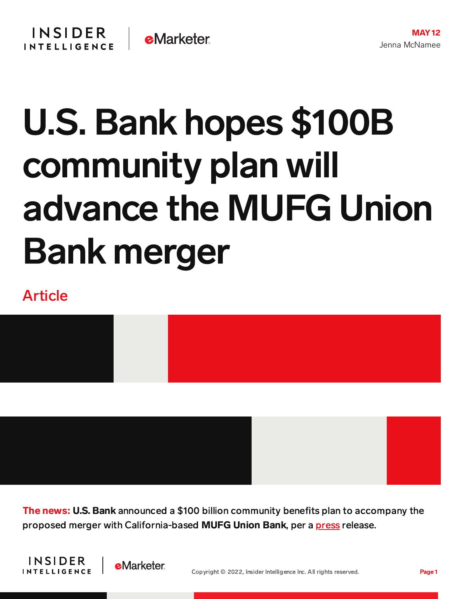## U.S. Bank hopes \$100B community plan will advance the MUFG Union Bank merger

## Article



The news: U.S. Bank announced a \$100 billion community benefits plan to accompany the proposed merger with California-based MUFG Union Bank, per a [press](https://www.businesswire.com/news/home/20220509005194/en/U.S.-Bancorp-Announces-100-Billion-Community-Benefits-Plan) release.



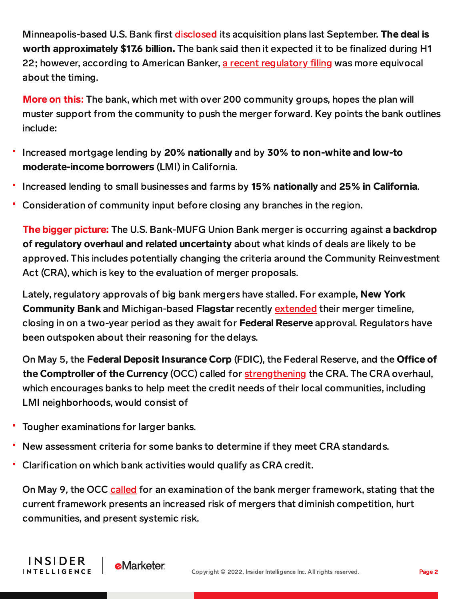Minneapolis-based U.S. Bank first [disclosed](https://ir.usbank.com/news-releases/news-release-details/us-bancorp-acquire-mufg-union-bank) its acquisition plans last September. The deal is worth approximately \$17.6 billion. The bank said then it expected it to be finalized during H1 22; however, according to American Banker, a recent [regulatory](https://www.americanbanker.com/news/u-s-bank-uncertain-when-deal-for-mufg-union-will-get-green-light) filing was more equivocal about the timing.

More on this: The bank, which met with over 200 community groups, hopes the plan will muster support from the community to push the merger forward. Key points the bank outlines include:

- Increased mortgage lending by 20% nationally and by 30% to non-white and low-to moderate-income borrowers (LMI) in California.
- Increased lending to small businesses and farms by 15% nationally and 25% in California.
- Consideration of community input before closing any branches in the region.

The bigger picture: The U.S. Bank-MUFG Union Bank merger is occurring against a backdrop of regulatory overhaul and related uncertainty about what kinds of deals are likely to be approved. This includes potentially changing the criteria around the Community Reinvestment Act (CRA), which is key to the evaluation of merger proposals.

Lately, regulatory approvals of big bank mergers have stalled. For example, **New York** Community Bank and Michigan-based Flagstar recently [extended](https://content-na1.emarketer.com/bank-m-a-backlog-builds-nycb-extends-its-deal-timeline-switches-up-charter-plans) their merger timeline, closing in on a two-year period as they await for Federal Reserve approval. Regulators have been outspoken about their reasoning for the delays.

On May 5, the Federal Deposit Insurance Corp (FDIC), the Federal Reserve, and the Office of the Comptroller of the Currency (OCC) called for [strengthening](https://content-na1.emarketer.com/us-regulators-overhaul-of-community-reinvestment-act-stops-short-of-fintechs?utm_campaign=bankin+briefing+05102022&utm_medium=email&utm_source=triggermail&utm_term=banking+innovation+briefing) the CRA. The CRA overhaul, which encourages banks to help meet the credit needs of their local communities, including LMI neighborhoods, would consist of

Tougher examinations for larger banks.

**INSIDER** 

**INTELLIGENCE** 

- New assessment criteria for some banks to determine if they meet CRA standards.
- Clarification on which bank activities would qualify as CRA credit.

**e**Marketer

On May 9, the OCC [called](https://www.pymnts.com/bank-regulation/2022/occs-comptroller-orders-staff-to-review-bank-merger-framework/) for an examination of the bank merger framework, stating that the current framework presents an increased risk of mergers that diminish competition, hurt communities, and present systemic risk.